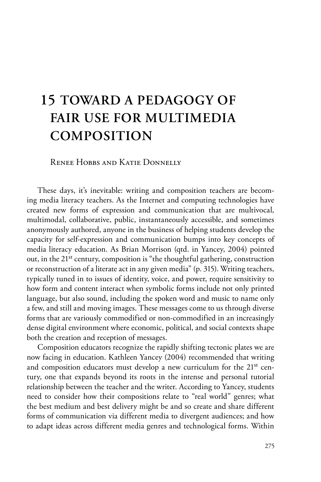# **15 TOWARD A PEDAGOGY OF FAIR USE FOR MULTIMEDIA COMPOSITION**

Renee Hobbs and Katie Donnelly

These days, it's inevitable: writing and composition teachers are becoming media literacy teachers. As the Internet and computing technologies have created new forms of expression and communication that are multivocal, multimodal, collaborative, public, instantaneously accessible, and sometimes anonymously authored, anyone in the business of helping students develop the capacity for self-expression and communication bumps into key concepts of media literacy education. As Brian Morrison (qtd. in Yancey, 2004) pointed out, in the 21st century, composition is "the thoughtful gathering, construction or reconstruction of a literate act in any given media" (p. 315). Writing teachers, typically tuned in to issues of identity, voice, and power, require sensitivity to how form and content interact when symbolic forms include not only printed language, but also sound, including the spoken word and music to name only a few, and still and moving images. These messages come to us through diverse forms that are variously commodified or non-commodified in an increasingly dense digital environment where economic, political, and social contexts shape both the creation and reception of messages.

Composition educators recognize the rapidly shifting tectonic plates we are now facing in education. Kathleen Yancey (2004) recommended that writing and composition educators must develop a new curriculum for the 21<sup>st</sup> century, one that expands beyond its roots in the intense and personal tutorial relationship between the teacher and the writer. According to Yancey, students need to consider how their compositions relate to "real world" genres; what the best medium and best delivery might be and so create and share different forms of communication via different media to divergent audiences; and how to adapt ideas across different media genres and technological forms. Within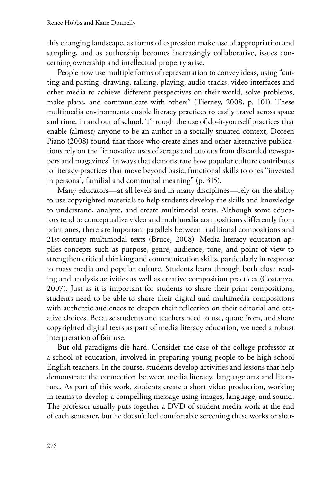this changing landscape, as forms of expression make use of appropriation and sampling, and as authorship becomes increasingly collaborative, issues concerning ownership and intellectual property arise.

People now use multiple forms of representation to convey ideas, using "cutting and pasting, drawing, talking, playing, audio tracks, video interfaces and other media to achieve different perspectives on their world, solve problems, make plans, and communicate with others" (Tierney, 2008, p. 101). These multimedia environments enable literacy practices to easily travel across space and time, in and out of school. Through the use of do-it-yourself practices that enable (almost) anyone to be an author in a socially situated context, Doreen Piano (2008) found that those who create zines and other alternative publications rely on the "innovative uses of scraps and cutouts from discarded newspapers and magazines" in ways that demonstrate how popular culture contributes to literacy practices that move beyond basic, functional skills to ones "invested in personal, familial and communal meaning" (p. 315).

Many educators—at all levels and in many disciplines—rely on the ability to use copyrighted materials to help students develop the skills and knowledge to understand, analyze, and create multimodal texts. Although some educators tend to conceptualize video and multimedia compositions differently from print ones, there are important parallels between traditional compositions and 21st-century multimodal texts (Bruce, 2008). Media literacy education applies concepts such as purpose, genre, audience, tone, and point of view to strengthen critical thinking and communication skills, particularly in response to mass media and popular culture. Students learn through both close reading and analysis activities as well as creative composition practices (Costanzo, 2007). Just as it is important for students to share their print compositions, students need to be able to share their digital and multimedia compositions with authentic audiences to deepen their reflection on their editorial and creative choices. Because students and teachers need to use, quote from, and share copyrighted digital texts as part of media literacy education, we need a robust interpretation of fair use.

But old paradigms die hard. Consider the case of the college professor at a school of education, involved in preparing young people to be high school English teachers. In the course, students develop activities and lessons that help demonstrate the connection between media literacy, language arts and literature. As part of this work, students create a short video production, working in teams to develop a compelling message using images, language, and sound. The professor usually puts together a DVD of student media work at the end of each semester, but he doesn't feel comfortable screening these works or shar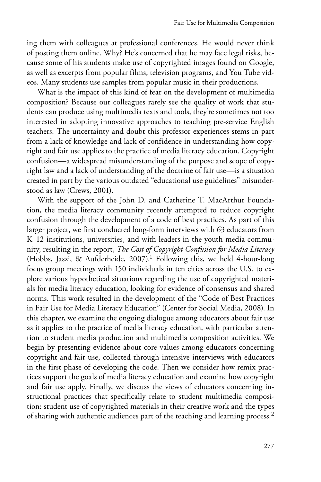ing them with colleagues at professional conferences. He would never think of posting them online. Why? He's concerned that he may face legal risks, because some of his students make use of copyrighted images found on Google, as well as excerpts from popular films, television programs, and You Tube videos. Many students use samples from popular music in their productions.

What is the impact of this kind of fear on the development of multimedia composition? Because our colleagues rarely see the quality of work that students can produce using multimedia texts and tools, they're sometimes not too interested in adopting innovative approaches to teaching pre-service English teachers. The uncertainty and doubt this professor experiences stems in part from a lack of knowledge and lack of confidence in understanding how copyright and fair use applies to the practice of media literacy education. Copyright confusion—a widespread misunderstanding of the purpose and scope of copyright law and a lack of understanding of the doctrine of fair use—is a situation created in part by the various outdated "educational use guidelines" misunderstood as law (Crews, 2001).

With the support of the John D. and Catherine T. MacArthur Foundation, the media literacy community recently attempted to reduce copyright confusion through the development of a code of best practices. As part of this larger project, we first conducted long-form interviews with 63 educators from K–12 institutions, universities, and with leaders in the youth media community, resulting in the report, *The Cost of Copyright Confusion for Media Literacy* (Hobbs, Jaszi, & Aufderheide, 2007).1 Following this, we held 4-hour-long focus group meetings with 150 individuals in ten cities across the U.S. to explore various hypothetical situations regarding the use of copyrighted materials for media literacy education, looking for evidence of consensus and shared norms. This work resulted in the development of the "Code of Best Practices in Fair Use for Media Literacy Education" (Center for Social Media, 2008). In this chapter, we examine the ongoing dialogue among educators about fair use as it applies to the practice of media literacy education, with particular attention to student media production and multimedia composition activities. We begin by presenting evidence about core values among educators concerning copyright and fair use, collected through intensive interviews with educators in the first phase of developing the code. Then we consider how remix practices support the goals of media literacy education and examine how copyright and fair use apply. Finally, we discuss the views of educators concerning instructional practices that specifically relate to student multimedia composition: student use of copyrighted materials in their creative work and the types of sharing with authentic audiences part of the teaching and learning process.<sup>2</sup>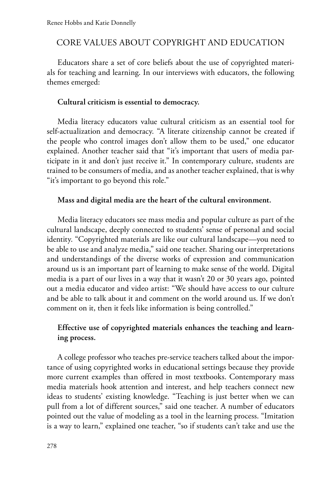# CORE VALUES ABOUT COPYRIGHT AND EDUCATION

Educators share a set of core beliefs about the use of copyrighted materials for teaching and learning. In our interviews with educators, the following themes emerged:

#### **Cultural criticism is essential to democracy.**

Media literacy educators value cultural criticism as an essential tool for self-actualization and democracy. "A literate citizenship cannot be created if the people who control images don't allow them to be used," one educator explained. Another teacher said that "it's important that users of media participate in it and don't just receive it." In contemporary culture, students are trained to be consumers of media, and as another teacher explained, that is why "it's important to go beyond this role."

#### **Mass and digital media are the heart of the cultural environment.**

Media literacy educators see mass media and popular culture as part of the cultural landscape, deeply connected to students' sense of personal and social identity. "Copyrighted materials are like our cultural landscape—you need to be able to use and analyze media," said one teacher. Sharing our interpretations and understandings of the diverse works of expression and communication around us is an important part of learning to make sense of the world. Digital media is a part of our lives in a way that it wasn't 20 or 30 years ago, pointed out a media educator and video artist: "We should have access to our culture and be able to talk about it and comment on the world around us. If we don't comment on it, then it feels like information is being controlled."

# **Effective use of copyrighted materials enhances the teaching and learning process.**

A college professor who teaches pre-service teachers talked about the importance of using copyrighted works in educational settings because they provide more current examples than offered in most textbooks. Contemporary mass media materials hook attention and interest, and help teachers connect new ideas to students' existing knowledge. "Teaching is just better when we can pull from a lot of different sources," said one teacher. A number of educators pointed out the value of modeling as a tool in the learning process. "Imitation is a way to learn," explained one teacher, "so if students can't take and use the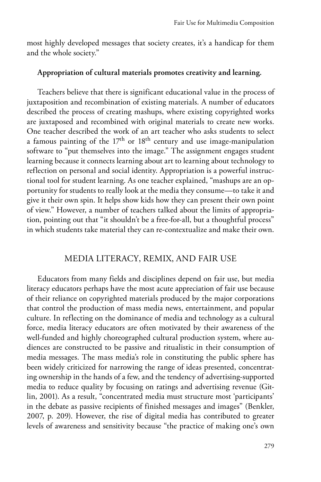most highly developed messages that society creates, it's a handicap for them and the whole society."

# **Appropriation of cultural materials promotes creativity and learning.**

Teachers believe that there is significant educational value in the process of juxtaposition and recombination of existing materials. A number of educators described the process of creating mashups, where existing copyrighted works are juxtaposed and recombined with original materials to create new works. One teacher described the work of an art teacher who asks students to select a famous painting of the  $17<sup>th</sup>$  or  $18<sup>th</sup>$  century and use image-manipulation software to "put themselves into the image." The assignment engages student learning because it connects learning about art to learning about technology to reflection on personal and social identity. Appropriation is a powerful instructional tool for student learning. As one teacher explained, "mashups are an opportunity for students to really look at the media they consume—to take it and give it their own spin. It helps show kids how they can present their own point of view." However, a number of teachers talked about the limits of appropriation, pointing out that "it shouldn't be a free-for-all, but a thoughtful process" in which students take material they can re-contextualize and make their own.

#### MEDIA LITERACY, REMIX, AND FAIR USE

Educators from many fields and disciplines depend on fair use, but media literacy educators perhaps have the most acute appreciation of fair use because of their reliance on copyrighted materials produced by the major corporations that control the production of mass media news, entertainment, and popular culture. In reflecting on the dominance of media and technology as a cultural force, media literacy educators are often motivated by their awareness of the well-funded and highly choreographed cultural production system, where audiences are constructed to be passive and ritualistic in their consumption of media messages. The mass media's role in constituting the public sphere has been widely criticized for narrowing the range of ideas presented, concentrating ownership in the hands of a few, and the tendency of advertising-supported media to reduce quality by focusing on ratings and advertising revenue (Gitlin, 2001). As a result, "concentrated media must structure most 'participants' in the debate as passive recipients of finished messages and images" (Benkler, 2007, p. 209). However, the rise of digital media has contributed to greater levels of awareness and sensitivity because "the practice of making one's own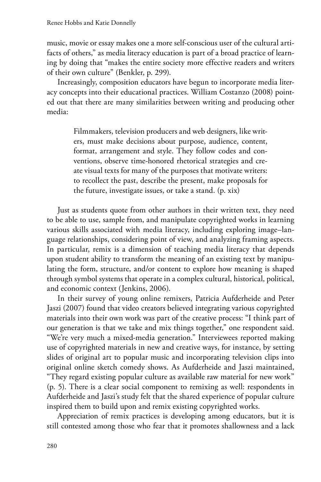music, movie or essay makes one a more self-conscious user of the cultural artifacts of others," as media literacy education is part of a broad practice of learning by doing that "makes the entire society more effective readers and writers of their own culture" (Benkler, p. 299).

Increasingly, composition educators have begun to incorporate media literacy concepts into their educational practices. William Costanzo (2008) pointed out that there are many similarities between writing and producing other media:

> Filmmakers, television producers and web designers, like writers, must make decisions about purpose, audience, content, format, arrangement and style. They follow codes and conventions, observe time-honored rhetorical strategies and create visual texts for many of the purposes that motivate writers: to recollect the past, describe the present, make proposals for the future, investigate issues, or take a stand. (p. xix)

Just as students quote from other authors in their written text, they need to be able to use, sample from, and manipulate copyrighted works in learning various skills associated with media literacy, including exploring image–language relationships, considering point of view, and analyzing framing aspects. In particular, remix is a dimension of teaching media literacy that depends upon student ability to transform the meaning of an existing text by manipulating the form, structure, and/or content to explore how meaning is shaped through symbol systems that operate in a complex cultural, historical, political, and economic context (Jenkins, 2006).

In their survey of young online remixers, Patricia Aufderheide and Peter Jaszi (2007) found that video creators believed integrating various copyrighted materials into their own work was part of the creative process: "I think part of our generation is that we take and mix things together," one respondent said. "We're very much a mixed-media generation." Interviewees reported making use of copyrighted materials in new and creative ways, for instance, by setting slides of original art to popular music and incorporating television clips into original online sketch comedy shows. As Aufderheide and Jaszi maintained, "They regard existing popular culture as available raw material for new work" (p. 5). There is a clear social component to remixing as well: respondents in Aufderheide and Jaszi's study felt that the shared experience of popular culture inspired them to build upon and remix existing copyrighted works.

Appreciation of remix practices is developing among educators, but it is still contested among those who fear that it promotes shallowness and a lack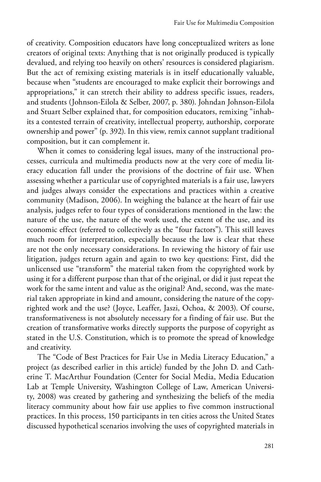of creativity. Composition educators have long conceptualized writers as lone creators of original texts: Anything that is not originally produced is typically devalued, and relying too heavily on others' resources is considered plagiarism. But the act of remixing existing materials is in itself educationally valuable, because when "students are encouraged to make explicit their borrowings and appropriations," it can stretch their ability to address specific issues, readers, and students (Johnson-Eilola & Selber, 2007, p. 380). Johndan Johnson-Eilola and Stuart Selber explained that, for composition educators, remixing "inhabits a contested terrain of creativity, intellectual property, authorship, corporate ownership and power" (p. 392). In this view, remix cannot supplant traditional composition, but it can complement it.

When it comes to considering legal issues, many of the instructional processes, curricula and multimedia products now at the very core of media literacy education fall under the provisions of the doctrine of fair use. When assessing whether a particular use of copyrighted materials is a fair use, lawyers and judges always consider the expectations and practices within a creative community (Madison, 2006). In weighing the balance at the heart of fair use analysis, judges refer to four types of considerations mentioned in the law: the nature of the use, the nature of the work used, the extent of the use, and its economic effect (referred to collectively as the "four factors"). This still leaves much room for interpretation, especially because the law is clear that these are not the only necessary considerations. In reviewing the history of fair use litigation, judges return again and again to two key questions: First, did the unlicensed use "transform" the material taken from the copyrighted work by using it for a different purpose than that of the original, or did it just repeat the work for the same intent and value as the original? And, second, was the material taken appropriate in kind and amount, considering the nature of the copyrighted work and the use? (Joyce, Leaffer, Jaszi, Ochoa, & 2003). Of course, transformativeness is not absolutely necessary for a finding of fair use. But the creation of transformative works directly supports the purpose of copyright as stated in the U.S. Constitution, which is to promote the spread of knowledge and creativity.

The "Code of Best Practices for Fair Use in Media Literacy Education," a project (as described earlier in this article) funded by the John D. and Catherine T. MacArthur Foundation (Center for Social Media, Media Education Lab at Temple University, Washington College of Law, American University, 2008) was created by gathering and synthesizing the beliefs of the media literacy community about how fair use applies to five common instructional practices. In this process, 150 participants in ten cities across the United States discussed hypothetical scenarios involving the uses of copyrighted materials in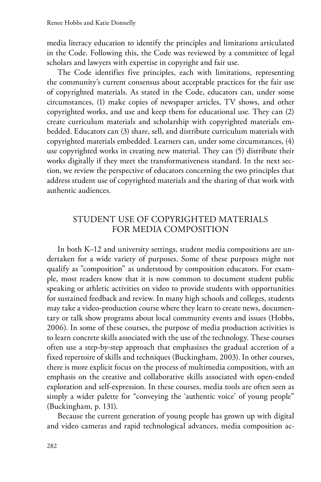media literacy education to identify the principles and limitations articulated in the Code. Following this, the Code was reviewed by a committee of legal scholars and lawyers with expertise in copyright and fair use.

The Code identifies five principles, each with limitations, representing the community's current consensus about acceptable practices for the fair use of copyrighted materials. As stated in the Code, educators can, under some circumstances, (1) make copies of newspaper articles, TV shows, and other copyrighted works, and use and keep them for educational use. They can (2) create curriculum materials and scholarship with copyrighted materials embedded. Educators can (3) share, sell, and distribute curriculum materials with copyrighted materials embedded. Learners can, under some circumstances, (4) use copyrighted works in creating new material. They can (5) distribute their works digitally if they meet the transformativeness standard. In the next section, we review the perspective of educators concerning the two principles that address student use of copyrighted materials and the sharing of that work with authentic audiences.

# STUDENT USE OF COPYRIGHTED MATERIALS FOR MEDIA COMPOSITION

In both K–12 and university settings, student media compositions are undertaken for a wide variety of purposes. Some of these purposes might not qualify as "composition" as understood by composition educators. For example, most readers know that it is now common to document student public speaking or athletic activities on video to provide students with opportunities for sustained feedback and review. In many high schools and colleges, students may take a video-production course where they learn to create news, documentary or talk show programs about local community events and issues (Hobbs, 2006). In some of these courses, the purpose of media production activities is to learn concrete skills associated with the use of the technology. These courses often use a step-by-step approach that emphasizes the gradual accretion of a fixed repertoire of skills and techniques (Buckingham, 2003). In other courses, there is more explicit focus on the process of multimedia composition, with an emphasis on the creative and collaborative skills associated with open-ended exploration and self-expression. In these courses, media tools are often seen as simply a wider palette for "conveying the 'authentic voice' of young people" (Buckingham, p. 131).

Because the current generation of young people has grown up with digital and video cameras and rapid technological advances, media composition ac-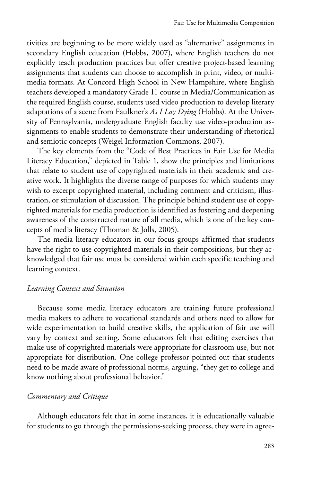tivities are beginning to be more widely used as "alternative" assignments in secondary English education (Hobbs, 2007), where English teachers do not explicitly teach production practices but offer creative project-based learning assignments that students can choose to accomplish in print, video, or multimedia formats. At Concord High School in New Hampshire, where English teachers developed a mandatory Grade 11 course in Media/Communication as the required English course, students used video production to develop literary adaptations of a scene from Faulkner's *As I Lay Dying* (Hobbs). At the University of Pennsylvania, undergraduate English faculty use video-production assignments to enable students to demonstrate their understanding of rhetorical and semiotic concepts (Weigel Information Commons, 2007).

The key elements from the "Code of Best Practices in Fair Use for Media Literacy Education," depicted in Table 1, show the principles and limitations that relate to student use of copyrighted materials in their academic and creative work. It highlights the diverse range of purposes for which students may wish to excerpt copyrighted material, including comment and criticism, illustration, or stimulation of discussion. The principle behind student use of copyrighted materials for media production is identified as fostering and deepening awareness of the constructed nature of all media, which is one of the key concepts of media literacy (Thoman & Jolls, 2005).

The media literacy educators in our focus groups affirmed that students have the right to use copyrighted materials in their compositions, but they acknowledged that fair use must be considered within each specific teaching and learning context.

#### *Learning Context and Situation*

Because some media literacy educators are training future professional media makers to adhere to vocational standards and others need to allow for wide experimentation to build creative skills, the application of fair use will vary by context and setting. Some educators felt that editing exercises that make use of copyrighted materials were appropriate for classroom use, but not appropriate for distribution. One college professor pointed out that students need to be made aware of professional norms, arguing, "they get to college and know nothing about professional behavior."

#### *Commentary and Critique*

Although educators felt that in some instances, it is educationally valuable for students to go through the permissions-seeking process, they were in agree-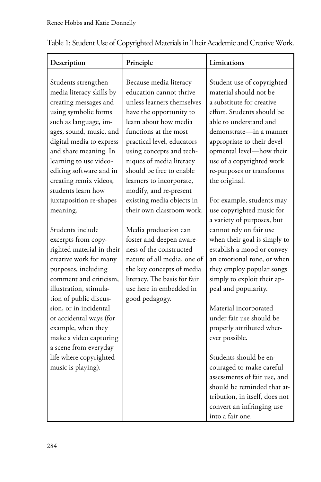| Description                                                                                                                                                                                                                                                                                                                                                                       | Principle                                                                                                                                                                                                                                                                                                                                                                                      | Limitations                                                                                                                                                                                                                                                                                                                                                                                                                                                                                                         |
|-----------------------------------------------------------------------------------------------------------------------------------------------------------------------------------------------------------------------------------------------------------------------------------------------------------------------------------------------------------------------------------|------------------------------------------------------------------------------------------------------------------------------------------------------------------------------------------------------------------------------------------------------------------------------------------------------------------------------------------------------------------------------------------------|---------------------------------------------------------------------------------------------------------------------------------------------------------------------------------------------------------------------------------------------------------------------------------------------------------------------------------------------------------------------------------------------------------------------------------------------------------------------------------------------------------------------|
| Students strengthen<br>media literacy skills by<br>creating messages and<br>using symbolic forms<br>such as language, im-<br>ages, sound, music, and<br>digital media to express<br>and share meaning. In<br>learning to use video-<br>editing software and in<br>creating remix videos,<br>students learn how<br>juxtaposition re-shapes<br>meaning.                             | Because media literacy<br>education cannot thrive<br>unless learners themselves<br>have the opportunity to<br>learn about how media<br>functions at the most<br>practical level, educators<br>using concepts and tech-<br>niques of media literacy<br>should be free to enable<br>learners to incorporate,<br>modify, and re-present<br>existing media objects in<br>their own classroom work. | Student use of copyrighted<br>material should not be<br>a substitute for creative<br>effort. Students should be<br>able to understand and<br>demonstrate-in a manner<br>appropriate to their devel-<br>opmental level-how their<br>use of a copyrighted work<br>re-purposes or transforms<br>the original.<br>For example, students may<br>use copyrighted music for<br>a variety of purposes, but                                                                                                                  |
| Students include<br>excerpts from copy-<br>righted material in their<br>creative work for many<br>purposes, including<br>comment and criticism.<br>illustration, stimula-<br>tion of public discus-<br>sion, or in incidental<br>or accidental ways (for<br>example, when they<br>make a video capturing<br>a scene from everyday<br>life where copyrighted<br>music is playing). | Media production can<br>foster and deepen aware-<br>ness of the constructed<br>nature of all media, one of<br>the key concepts of media<br>literacy. The basis for fair<br>use here in embedded in<br>good pedagogy.                                                                                                                                                                           | cannot rely on fair use<br>when their goal is simply to<br>establish a mood or convey<br>an emotional tone, or when<br>they employ popular songs<br>simply to exploit their ap-<br>peal and popularity.<br>Material incorporated<br>under fair use should be<br>properly attributed wher-<br>ever possible.<br>Students should be en-<br>couraged to make careful<br>assessments of fair use, and<br>should be reminded that at-<br>tribution, in itself, does not<br>convert an infringing use<br>into a fair one. |

# Table 1: Student Use of Copyrighted Materials in Their Academic and Creative Work.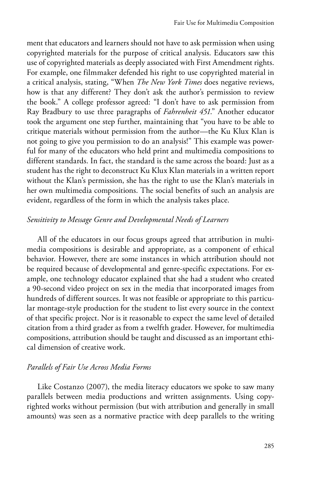ment that educators and learners should not have to ask permission when using copyrighted materials for the purpose of critical analysis. Educators saw this use of copyrighted materials as deeply associated with First Amendment rights. For example, one filmmaker defended his right to use copyrighted material in a critical analysis, stating, "When *The New York Times* does negative reviews, how is that any different? They don't ask the author's permission to review the book." A college professor agreed: "I don't have to ask permission from Ray Bradbury to use three paragraphs of *Fahrenheit 451*." Another educator took the argument one step further, maintaining that "you have to be able to critique materials without permission from the author—the Ku Klux Klan is not going to give you permission to do an analysis!" This example was powerful for many of the educators who held print and multimedia compositions to different standards. In fact, the standard is the same across the board: Just as a student has the right to deconstruct Ku Klux Klan materials in a written report without the Klan's permission, she has the right to use the Klan's materials in her own multimedia compositions. The social benefits of such an analysis are evident, regardless of the form in which the analysis takes place.

#### *Sensitivity to Message Genre and Developmental Needs of Learners*

All of the educators in our focus groups agreed that attribution in multimedia compositions is desirable and appropriate, as a component of ethical behavior. However, there are some instances in which attribution should not be required because of developmental and genre-specific expectations. For example, one technology educator explained that she had a student who created a 90-second video project on sex in the media that incorporated images from hundreds of different sources. It was not feasible or appropriate to this particular montage-style production for the student to list every source in the context of that specific project. Nor is it reasonable to expect the same level of detailed citation from a third grader as from a twelfth grader. However, for multimedia compositions, attribution should be taught and discussed as an important ethical dimension of creative work.

#### *Parallels of Fair Use Across Media Forms*

Like Costanzo (2007), the media literacy educators we spoke to saw many parallels between media productions and written assignments. Using copyrighted works without permission (but with attribution and generally in small amounts) was seen as a normative practice with deep parallels to the writing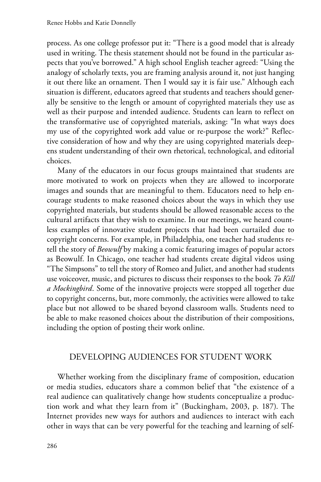process. As one college professor put it: "There is a good model that is already used in writing. The thesis statement should not be found in the particular aspects that you've borrowed." A high school English teacher agreed: "Using the analogy of scholarly texts, you are framing analysis around it, not just hanging it out there like an ornament. Then I would say it is fair use." Although each situation is different, educators agreed that students and teachers should generally be sensitive to the length or amount of copyrighted materials they use as well as their purpose and intended audience. Students can learn to reflect on the transformative use of copyrighted materials, asking: "In what ways does my use of the copyrighted work add value or re-purpose the work?" Reflective consideration of how and why they are using copyrighted materials deepens student understanding of their own rhetorical, technological, and editorial choices.

Many of the educators in our focus groups maintained that students are more motivated to work on projects when they are allowed to incorporate images and sounds that are meaningful to them. Educators need to help encourage students to make reasoned choices about the ways in which they use copyrighted materials, but students should be allowed reasonable access to the cultural artifacts that they wish to examine. In our meetings, we heard countless examples of innovative student projects that had been curtailed due to copyright concerns. For example, in Philadelphia, one teacher had students retell the story of *Beowulf* by making a comic featuring images of popular actors as Beowulf. In Chicago, one teacher had students create digital videos using "The Simpsons" to tell the story of Romeo and Juliet, and another had students use voiceover, music, and pictures to discuss their responses to the book *To Kill a Mockingbird*. Some of the innovative projects were stopped all together due to copyright concerns, but, more commonly, the activities were allowed to take place but not allowed to be shared beyond classroom walls. Students need to be able to make reasoned choices about the distribution of their compositions, including the option of posting their work online.

# DEVELOPING AUDIENCES FOR STUDENT WORK

Whether working from the disciplinary frame of composition, education or media studies, educators share a common belief that "the existence of a real audience can qualitatively change how students conceptualize a production work and what they learn from it" (Buckingham, 2003, p. 187). The Internet provides new ways for authors and audiences to interact with each other in ways that can be very powerful for the teaching and learning of self-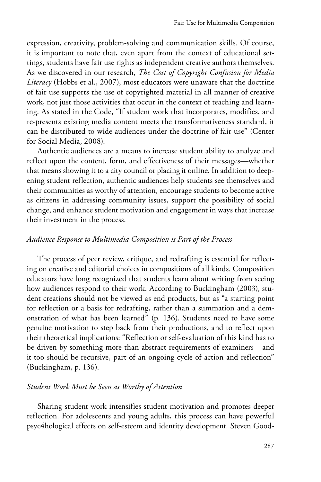expression, creativity, problem-solving and communication skills. Of course, it is important to note that, even apart from the context of educational settings, students have fair use rights as independent creative authors themselves. As we discovered in our research, *The Cost of Copyright Confusion for Media Literacy* (Hobbs et al., 2007), most educators were unaware that the doctrine of fair use supports the use of copyrighted material in all manner of creative work, not just those activities that occur in the context of teaching and learning. As stated in the Code, "If student work that incorporates, modifies, and re-presents existing media content meets the transformativeness standard, it can be distributed to wide audiences under the doctrine of fair use" (Center for Social Media, 2008).

Authentic audiences are a means to increase student ability to analyze and reflect upon the content, form, and effectiveness of their messages—whether that means showing it to a city council or placing it online. In addition to deepening student reflection, authentic audiences help students see themselves and their communities as worthy of attention, encourage students to become active as citizens in addressing community issues, support the possibility of social change, and enhance student motivation and engagement in ways that increase their investment in the process.

#### *Audience Response to Multimedia Composition is Part of the Process*

The process of peer review, critique, and redrafting is essential for reflecting on creative and editorial choices in compositions of all kinds. Composition educators have long recognized that students learn about writing from seeing how audiences respond to their work. According to Buckingham (2003), student creations should not be viewed as end products, but as "a starting point for reflection or a basis for redrafting, rather than a summation and a demonstration of what has been learned" (p. 136). Students need to have some genuine motivation to step back from their productions, and to reflect upon their theoretical implications: "Reflection or self-evaluation of this kind has to be driven by something more than abstract requirements of examiners—and it too should be recursive, part of an ongoing cycle of action and reflection" (Buckingham, p. 136).

#### *Student Work Must be Seen as Worthy of Attention*

Sharing student work intensifies student motivation and promotes deeper reflection. For adolescents and young adults, this process can have powerful psyc4hological effects on self-esteem and identity development. Steven Good-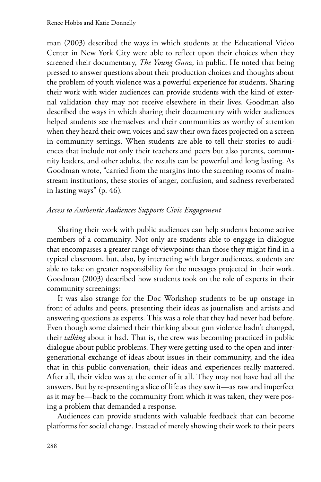man (2003) described the ways in which students at the Educational Video Center in New York City were able to reflect upon their choices when they screened their documentary, *The Young Gunz,* in public. He noted that being pressed to answer questions about their production choices and thoughts about the problem of youth violence was a powerful experience for students. Sharing their work with wider audiences can provide students with the kind of external validation they may not receive elsewhere in their lives. Goodman also described the ways in which sharing their documentary with wider audiences helped students see themselves and their communities as worthy of attention when they heard their own voices and saw their own faces projected on a screen in community settings. When students are able to tell their stories to audiences that include not only their teachers and peers but also parents, community leaders, and other adults, the results can be powerful and long lasting. As Goodman wrote, "carried from the margins into the screening rooms of mainstream institutions, these stories of anger, confusion, and sadness reverberated in lasting ways" (p. 46).

## *Access to Authentic Audiences Supports Civic Engagement*

Sharing their work with public audiences can help students become active members of a community. Not only are students able to engage in dialogue that encompasses a greater range of viewpoints than those they might find in a typical classroom, but, also, by interacting with larger audiences, students are able to take on greater responsibility for the messages projected in their work. Goodman (2003) described how students took on the role of experts in their community screenings:

It was also strange for the Doc Workshop students to be up onstage in front of adults and peers, presenting their ideas as journalists and artists and answering questions as experts. This was a role that they had never had before. Even though some claimed their thinking about gun violence hadn't changed, their *talking* about it had. That is, the crew was becoming practiced in public dialogue about public problems. They were getting used to the open and intergenerational exchange of ideas about issues in their community, and the idea that in this public conversation, their ideas and experiences really mattered. After all, their video was at the center of it all. They may not have had all the answers. But by re-presenting a slice of life as they saw it—as raw and imperfect as it may be—back to the community from which it was taken, they were posing a problem that demanded a response.

Audiences can provide students with valuable feedback that can become platforms for social change. Instead of merely showing their work to their peers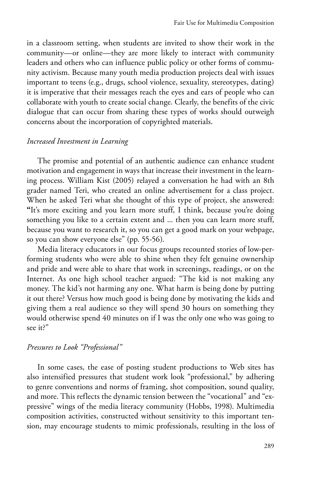in a classroom setting, when students are invited to show their work in the community—or online—they are more likely to interact with community leaders and others who can influence public policy or other forms of community activism. Because many youth media production projects deal with issues important to teens (e.g., drugs, school violence, sexuality, stereotypes, dating) it is imperative that their messages reach the eyes and ears of people who can collaborate with youth to create social change. Clearly, the benefits of the civic dialogue that can occur from sharing these types of works should outweigh concerns about the incorporation of copyrighted materials.

#### *Increased Investment in Learning*

The promise and potential of an authentic audience can enhance student motivation and engagement in ways that increase their investment in the learning process. William Kist (2005) relayed a conversation he had with an 8th grader named Teri, who created an online advertisement for a class project. When he asked Teri what she thought of this type of project, she answered: **"**It's more exciting and you learn more stuff, I think, because you're doing something you like to a certain extent and ... then you can learn more stuff, because you want to research it, so you can get a good mark on your webpage, so you can show everyone else" (pp. 55-56).

Media literacy educators in our focus groups recounted stories of low-performing students who were able to shine when they felt genuine ownership and pride and were able to share that work in screenings, readings, or on the Internet. As one high school teacher argued: "The kid is not making any money. The kid's not harming any one. What harm is being done by putting it out there? Versus how much good is being done by motivating the kids and giving them a real audience so they will spend 30 hours on something they would otherwise spend 40 minutes on if I was the only one who was going to see it?"

#### *Pressures to Look "Professional"*

In some cases, the ease of posting student productions to Web sites has also intensified pressures that student work look "professional," by adhering to genre conventions and norms of framing, shot composition, sound quality, and more. This reflects the dynamic tension between the "vocational" and "expressive" wings of the media literacy community (Hobbs, 1998). Multimedia composition activities, constructed without sensitivity to this important tension, may encourage students to mimic professionals, resulting in the loss of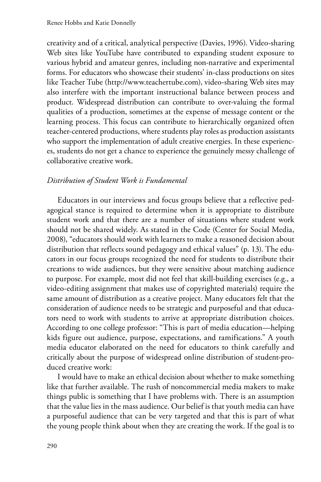creativity and of a critical, analytical perspective (Davies, 1996). Video-sharing Web sites like YouTube have contributed to expanding student exposure to various hybrid and amateur genres, including non-narrative and experimental forms. For educators who showcase their students' in-class productions on sites like Teacher Tube (http://www.teachertube.com), video-sharing Web sites may also interfere with the important instructional balance between process and product. Widespread distribution can contribute to over-valuing the formal qualities of a production, sometimes at the expense of message content or the learning process. This focus can contribute to hierarchically organized often teacher-centered productions, where students play roles as production assistants who support the implementation of adult creative energies. In these experiences, students do not get a chance to experience the genuinely messy challenge of collaborative creative work.

## *Distribution of Student Work is Fundamental*

Educators in our interviews and focus groups believe that a reflective pedagogical stance is required to determine when it is appropriate to distribute student work and that there are a number of situations where student work should not be shared widely. As stated in the Code (Center for Social Media, 2008), "educators should work with learners to make a reasoned decision about distribution that reflects sound pedagogy and ethical values" (p. 13). The educators in our focus groups recognized the need for students to distribute their creations to wide audiences, but they were sensitive about matching audience to purpose. For example, most did not feel that skill-building exercises (e.g., a video-editing assignment that makes use of copyrighted materials) require the same amount of distribution as a creative project. Many educators felt that the consideration of audience needs to be strategic and purposeful and that educators need to work with students to arrive at appropriate distribution choices. According to one college professor: "This is part of media education—helping kids figure out audience, purpose, expectations, and ramifications." A youth media educator elaborated on the need for educators to think carefully and critically about the purpose of widespread online distribution of student-produced creative work:

I would have to make an ethical decision about whether to make something like that further available. The rush of noncommercial media makers to make things public is something that I have problems with. There is an assumption that the value lies in the mass audience. Our belief is that youth media can have a purposeful audience that can be very targeted and that this is part of what the young people think about when they are creating the work. If the goal is to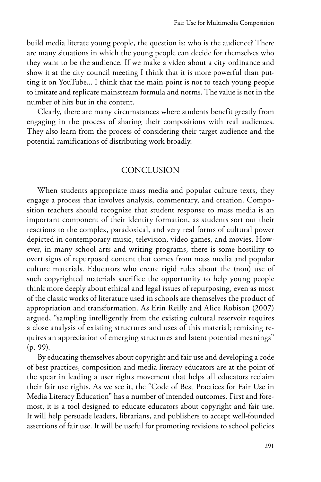build media literate young people, the question is: who is the audience? There are many situations in which the young people can decide for themselves who they want to be the audience. If we make a video about a city ordinance and show it at the city council meeting I think that it is more powerful than putting it on YouTube... I think that the main point is not to teach young people to imitate and replicate mainstream formula and norms. The value is not in the number of hits but in the content.

Clearly, there are many circumstances where students benefit greatly from engaging in the process of sharing their compositions with real audiences. They also learn from the process of considering their target audience and the potential ramifications of distributing work broadly.

# **CONCLUSION**

When students appropriate mass media and popular culture texts, they engage a process that involves analysis, commentary, and creation. Composition teachers should recognize that student response to mass media is an important component of their identity formation, as students sort out their reactions to the complex, paradoxical, and very real forms of cultural power depicted in contemporary music, television, video games, and movies. However, in many school arts and writing programs, there is some hostility to overt signs of repurposed content that comes from mass media and popular culture materials. Educators who create rigid rules about the (non) use of such copyrighted materials sacrifice the opportunity to help young people think more deeply about ethical and legal issues of repurposing, even as most of the classic works of literature used in schools are themselves the product of appropriation and transformation. As Erin Reilly and Alice Robison (2007) argued, "sampling intelligently from the existing cultural reservoir requires a close analysis of existing structures and uses of this material; remixing requires an appreciation of emerging structures and latent potential meanings" (p. 99).

By educating themselves about copyright and fair use and developing a code of best practices, composition and media literacy educators are at the point of the spear in leading a user rights movement that helps all educators reclaim their fair use rights. As we see it, the "Code of Best Practices for Fair Use in Media Literacy Education" has a number of intended outcomes. First and foremost, it is a tool designed to educate educators about copyright and fair use. It will help persuade leaders, librarians, and publishers to accept well-founded assertions of fair use. It will be useful for promoting revisions to school policies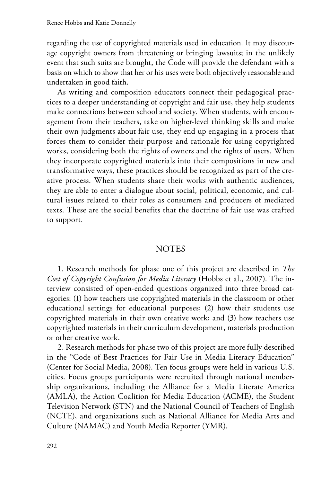regarding the use of copyrighted materials used in education. It may discourage copyright owners from threatening or bringing lawsuits; in the unlikely event that such suits are brought, the Code will provide the defendant with a basis on which to show that her or his uses were both objectively reasonable and undertaken in good faith.

As writing and composition educators connect their pedagogical practices to a deeper understanding of copyright and fair use, they help students make connections between school and society. When students, with encouragement from their teachers, take on higher-level thinking skills and make their own judgments about fair use, they end up engaging in a process that forces them to consider their purpose and rationale for using copyrighted works, considering both the rights of owners and the rights of users. When they incorporate copyrighted materials into their compositions in new and transformative ways, these practices should be recognized as part of the creative process. When students share their works with authentic audiences, they are able to enter a dialogue about social, political, economic, and cultural issues related to their roles as consumers and producers of mediated texts. These are the social benefits that the doctrine of fair use was crafted to support.

#### **NOTES**

1. Research methods for phase one of this project are described in *The Cost of Copyright Confusion for Media Literacy* (Hobbs et al., 2007). The interview consisted of open-ended questions organized into three broad categories: (1) how teachers use copyrighted materials in the classroom or other educational settings for educational purposes; (2) how their students use copyrighted materials in their own creative work; and (3) how teachers use copyrighted materials in their curriculum development, materials production or other creative work.

2. Research methods for phase two of this project are more fully described in the "Code of Best Practices for Fair Use in Media Literacy Education" (Center for Social Media, 2008). Ten focus groups were held in various U.S. cities. Focus groups participants were recruited through national membership organizations, including the Alliance for a Media Literate America (AMLA), the Action Coalition for Media Education (ACME), the Student Television Network (STN) and the National Council of Teachers of English (NCTE), and organizations such as National Alliance for Media Arts and Culture (NAMAC) and Youth Media Reporter (YMR).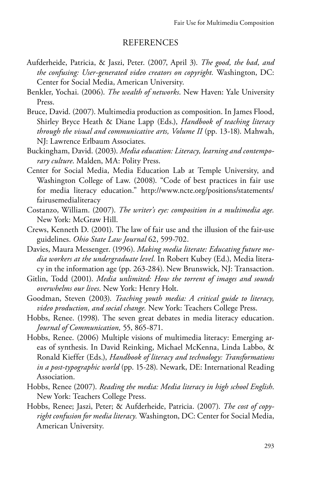#### REFERENCES

- Aufderheide, Patricia, & Jaszi, Peter. (2007, April 3). *The good, the bad, and the confusing: User-generated video creators on copyright.* Washington, DC: Center for Social Media, American University.
- Benkler, Yochai. (2006). *The wealth of networks*. New Haven: Yale University Press.
- Bruce, David. (2007). Multimedia production as composition. In James Flood, Shirley Bryce Heath & Diane Lapp (Eds.), *Handbook of teaching literacy through the visual and communicative arts, Volume II* (pp. 13-18). Mahwah, NJ: Lawrence Erlbaum Associates.
- Buckingham, David. (2003). *Media education: Literacy, learning and contemporary culture*. Malden, MA: Polity Press.
- Center for Social Media, Media Education Lab at Temple University, and Washington College of Law. (2008). "Code of best practices in fair use for media literacy education." http://www.ncte.org/positions/statements/ fairusemedialiteracy
- Costanzo, William. (2007). *The writer's eye: composition in a multimedia age.* New York: McGraw Hill.
- Crews, Kenneth D. (2001). The law of fair use and the illusion of the fair-use guidelines. *Ohio State Law Journal* 62, 599-702.
- Davies, Maura Messenger. (1996). *Making media literate: Educating future media workers at the undergraduate level.* In Robert Kubey (Ed.), Media literacy in the information age (pp. 263-284). New Brunswick, NJ: Transaction.
- Gitlin, Todd (2001). *Media unlimited: How the torrent of images and sounds overwhelms our lives*. New York: Henry Holt.
- Goodman, Steven (2003). *Teaching youth media: A critical guide to literacy, video production, and social change.* New York: Teachers College Press.
- Hobbs, Renee. (1998). The seven great debates in media literacy education. *Journal of Communication,* 55, 865-871.
- Hobbs, Renee. (2006) Multiple visions of multimedia literacy: Emerging areas of synthesis. In David Reinking, Michael McKenna, Linda Labbo, & Ronald Kieffer (Eds.), *Handbook of literacy and technology: Transformations in a post-typographic world* (pp. 15-28). Newark, DE: International Reading Association.
- Hobbs, Renee (2007). *Reading the media: Media literacy in high school English*. New York: Teachers College Press.
- Hobbs, Renee; Jaszi, Peter; & Aufderheide, Patricia. (2007). *The cost of copyright confusion for media literacy.* Washington, DC: Center for Social Media, American University.